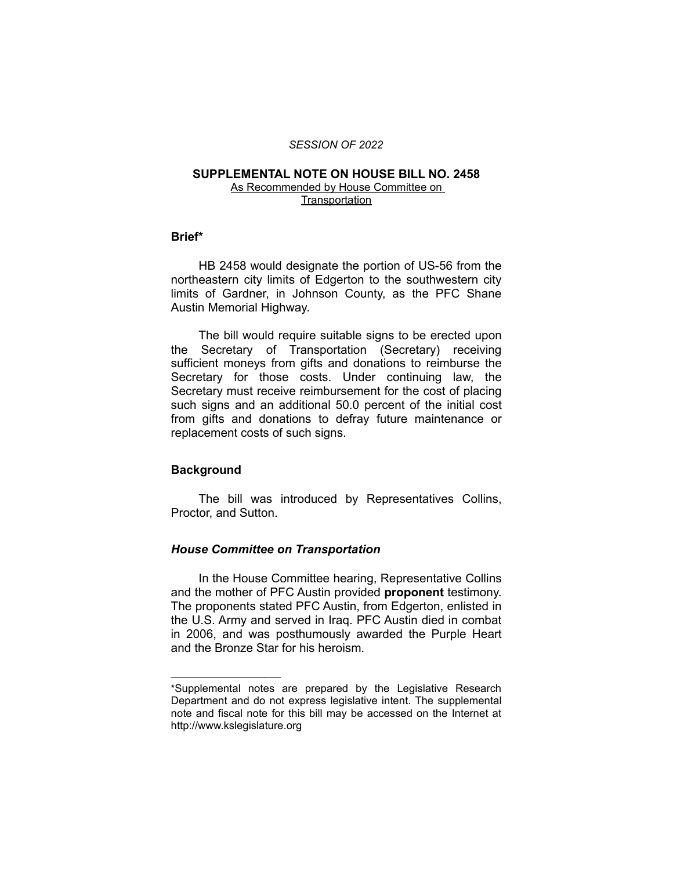#### *SESSION OF 2022*

## **SUPPLEMENTAL NOTE ON HOUSE BILL NO. 2458**

As Recommended by House Committee on **Transportation** 

# **Brief\***

HB 2458 would designate the portion of US-56 from the northeastern city limits of Edgerton to the southwestern city limits of Gardner, in Johnson County, as the PFC Shane Austin Memorial Highway.

The bill would require suitable signs to be erected upon the Secretary of Transportation (Secretary) receiving sufficient moneys from gifts and donations to reimburse the Secretary for those costs. Under continuing law, the Secretary must receive reimbursement for the cost of placing such signs and an additional 50.0 percent of the initial cost from gifts and donations to defray future maintenance or replacement costs of such signs.

### **Background**

 $\overline{\phantom{a}}$  , where  $\overline{\phantom{a}}$  , where  $\overline{\phantom{a}}$ 

The bill was introduced by Representatives Collins, Proctor, and Sutton.

## *House Committee on Transportation*

In the House Committee hearing, Representative Collins and the mother of PFC Austin provided **proponent** testimony. The proponents stated PFC Austin, from Edgerton, enlisted in the U.S. Army and served in Iraq. PFC Austin died in combat in 2006, and was posthumously awarded the Purple Heart and the Bronze Star for his heroism.

<sup>\*</sup>Supplemental notes are prepared by the Legislative Research Department and do not express legislative intent. The supplemental note and fiscal note for this bill may be accessed on the Internet at http://www.kslegislature.org